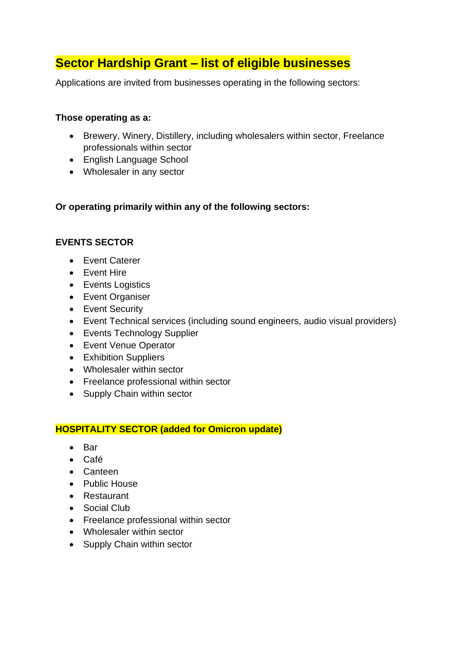# **Sector Hardship Grant – list of eligible businesses**

Applications are invited from businesses operating in the following sectors:

### **Those operating as a:**

- Brewery, Winery, Distillery, including wholesalers within sector, Freelance professionals within sector
- English Language School
- Wholesaler in any sector

# **Or operating primarily within any of the following sectors:**

# **EVENTS SECTOR**

- Event Caterer
- Event Hire
- Events Logistics
- Event Organiser
- Event Security
- Event Technical services (including sound engineers, audio visual providers)
- Events Technology Supplier
- Event Venue Operator
- Exhibition Suppliers
- Wholesaler within sector
- Freelance professional within sector
- Supply Chain within sector

# **HOSPITALITY SECTOR (added for Omicron update)**

- Bar
- Café
- Canteen
- Public House
- Restaurant
- Social Club
- Freelance professional within sector
- Wholesaler within sector
- Supply Chain within sector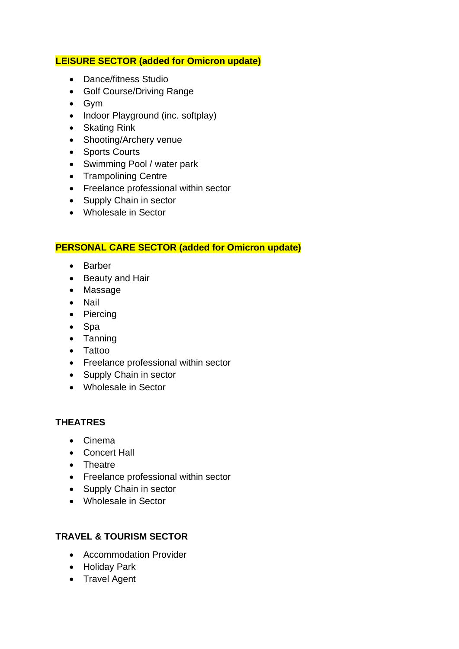### **LEISURE SECTOR (added for Omicron update)**

- Dance/fitness Studio
- Golf Course/Driving Range
- Gym
- Indoor Playground (inc. softplay)
- Skating Rink
- Shooting/Archery venue
- Sports Courts
- Swimming Pool / water park
- Trampolining Centre
- Freelance professional within sector
- Supply Chain in sector
- Wholesale in Sector

### **PERSONAL CARE SECTOR (added for Omicron update)**

- Barber
- Beauty and Hair
- Massage
- Nail
- Piercing
- Spa
- Tanning
- Tattoo
- Freelance professional within sector
- Supply Chain in sector
- Wholesale in Sector

# **THEATRES**

- Cinema
- Concert Hall
- Theatre
- Freelance professional within sector
- Supply Chain in sector
- Wholesale in Sector

# **TRAVEL & TOURISM SECTOR**

- Accommodation Provider
- Holiday Park
- Travel Agent